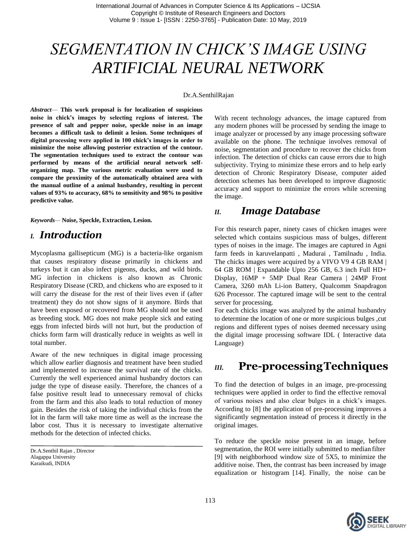# *SEGMENTATION IN CHICK'S IMAGE USING ARTIFICIAL NEURAL NETWORK*

#### Dr.A.SenthilRajan

*Abstract*— **This work proposal is for localization of suspicious noise in chick's images by selecting regions of interest. The presence of salt and pepper noise, speckle noise in an image becomes a difficult task to delimit a lesion. Some techniques of digital processing were applied in 100 chick's images in order to minimize the noise allowing posterior extraction of the contour. The segmentation techniques used to extract the contour was performed by means of the artificial neural network selforganizing map. The various metric evaluation were used to compare the proximity of the automatically obtained area with the manual outline of a animal husbandry, resulting in percent values of 93% to accuracy, 68% to sensitivity and 98% to positive predictive value.**

*Keywords—* **Noise, Speckle, Extraction, Lesion.**

### *I. Introduction*

Mycoplasma gallisepticum (MG) is a bacteria-like organism that causes respiratory disease primarily in chickens and turkeys but it can also infect pigeons, ducks, and wild birds. MG infection in chickens is also known as Chronic Respiratory Disease (CRD, and chickens who are exposed to it will carry the disease for the rest of their lives even if (after treatment) they do not show signs of it anymore. Birds that have been exposed or recovered from MG should not be used as breeding stock. MG does not make people sick and eating eggs from infected birds will not hurt, but the production of chicks form farm will drastically reduce in weights as well in total number.

Aware of the new techniques in digital image processing which allow earlier diagnosis and treatment have been studied and implemented to increase the survival rate of the chicks. Currently the well experienced animal husbandry doctors can judge the type of disease easily. Therefore, the chances of a false positive result lead to unnecessary removal of chicks from the farm and this also leads to total reduction of money gain. Besides the risk of taking the individual chicks from the lot in the farm will take more time as well as the increase the labor cost. Thus it is necessary to investigate alternative methods for the detection of infected chicks.

Dr.A.Senthil Rajan , Director Alagappa University Karaikudi, INDIA

With recent technology advances, the image captured from any modern phones will be processed by sending the image to image analyzer or processed by any image processing software available on the phone. The technique involves removal of noise, segmentation and procedure to recover the chicks from infection. The detection of chicks can cause errors due to high subjectivity. Trying to minimize these errors and to help early detection of Chronic Respiratory Disease, computer aided detection schemes has been developed to improve diagnostic accuracy and support to minimize the errors while screening the image.

### *II. Image Database*

For this research paper, ninety cases of chicken images were selected which contains suspicious mass of bulges, different types of noises in the image. The images are captured in Agni farm feeds in karuvelanpatti , Madurai , Tamilnadu , India. The chicks images were acquired by a VIVO V9 4 GB RAM | 64 GB ROM | Expandable Upto 256 GB, 6.3 inch Full HD+ Display, 16MP + 5MP Dual Rear Camera | 24MP Front Camera, 3260 mAh Li-ion Battery, Qualcomm Snapdragon 626 Processor. The captured image will be sent to the central server for processing.

For each chicks image was analyzed by the animal husbandry to determine the location of one or more suspicious bulges ,cut regions and different types of noises deemed necessary using the digital image processing software IDL ( Interactive data Language)

### *III.* **Pre-processingTechniques**

To find the detection of bulges in an image, pre-processing techniques were applied in order to find the effective removal of various noises and also clear bulges in a chick's images. According to [8] the application of pre-processing improves a significantly segmentation instead of process it directly in the original images.

To reduce the speckle noise present in an image, before segmentation, the ROI were initially submitted to median filter [9] with neighborhood window size of 5X5, to minimize the additive noise. Then, the contrast has been increased by image equalization or histogram [14]. Finally, the noise can be

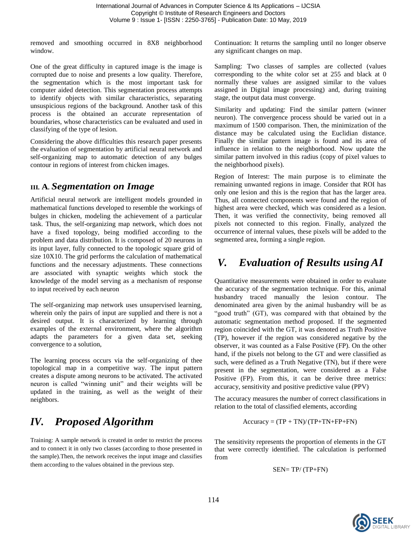removed and smoothing occurred in 8X8 neighborhood window.

One of the great difficulty in captured image is the image is corrupted due to noise and presents a low quality. Therefore, the segmentation which is the most important task for computer aided detection. This segmentation process attempts to identify objects with similar characteristics, separating unsuspicious regions of the background. Another task of this process is the obtained an accurate representation of boundaries, whose characteristics can be evaluated and used in classifying of the type of lesion.

Considering the above difficulties this research paper presents the evaluation of segmentation by artificial neural network and self-organizing map to automatic detection of any bulges contour in regions of interest from chicken images.

### **III***.* **A***. Segmentation on Image*

Artificial neural network are intelligent models grounded in mathematical functions developed to resemble the workings of bulges in chicken, modeling the achievement of a particular task. Thus, the self-organizing map network, which does not have a fixed topology, being modified according to the problem and data distribution. It is composed of 20 neurons in its input layer, fully connected to the topologic square grid of size 10X10. The grid performs the calculation of mathematical functions and the necessary adjustments. These connections are associated with synaptic weights which stock the knowledge of the model serving as a mechanism of response to input received by each neuron

The self-organizing map network uses unsupervised learning, wherein only the pairs of input are supplied and there is not a desired output. It is characterized by learning through examples of the external environment, where the algorithm adapts the parameters for a given data set, seeking convergence to a solution,

The learning process occurs via the self-organizing of thee topological map in a competitive way. The input pattern creates a dispute among neurons to be activated. The activated neuron is called "winning unit" and their weights will be updated in the training, as well as the weight of their neighbors.

## *IV. Proposed Algorithm*

Training: A sample network is created in order to restrict the process and to connect it in only two classes (according to those presented in the sample).Then, the network receives the input image and classifies them according to the values obtained in the previous step.

Continuation: It returns the sampling until no longer observe any significant changes on map.

Sampling: Two classes of samples are collected (values corresponding to the white color set at 255 and black at 0 normally these values are assigned similar to the values assigned in Digital image processing) and, during training stage, the output data must converge.

Similarity and updating: Find the similar pattern (winner neuron). The convergence process should be varied out in a maximum of 1500 comparison. Then, the minimization of the distance may be calculated using the Euclidian distance. Finally the similar pattern image is found and its area of influence in relation to the neighborhood. Now update the similar pattern involved in this radius (copy of pixel values to the neighborhood pixels).

Region of Interest: The main purpose is to eliminate the remaining unwanted regions in image. Consider that ROI has only one lesion and this is the region that has the larger area. Thus, all connected components were found and the region of highest area were checked, which was considered as a lesion. Then, it was verified the connectivity, being removed all pixels not connected to this region. Finally, analyzed the occurrence of internal values, these pixels will be added to the segmented area, forming a single region.

## *V. Evaluation of Results usingAI*

Quantitative measurements were obtained in order to evaluate the accuracy of the segmentation technique. For this, animal husbandry traced manually the lesion contour. The denominated area given by the animal husbandry will be as "good truth" (GT), was compared with that obtained by the automatic segmentation method proposed. If the segmented region coincided with the GT, it was denoted as Truth Positive (TP), however if the region was considered negative by the observer, it was counted as a False Positive (FP). On the other hand, if the pixels not belong to the GT and were classified as such, were defined as a Truth Negative (TN), but if there were present in the segmentation, were considered as a False Positive (FP). From this, it can be derive three metrics: accuracy, sensitivity and positive predictive value (PPV)

The accuracy measures the number of correct classifications in relation to the total of classified elements, according

$$
Accuracy = (TP + TN)/(TP + TN + FP + FN)
$$

The sensitivity represents the proportion of elements in the GT that were correctly identified. The calculation is performed from

$$
SEN=TP/\left(TP+FN\right)
$$

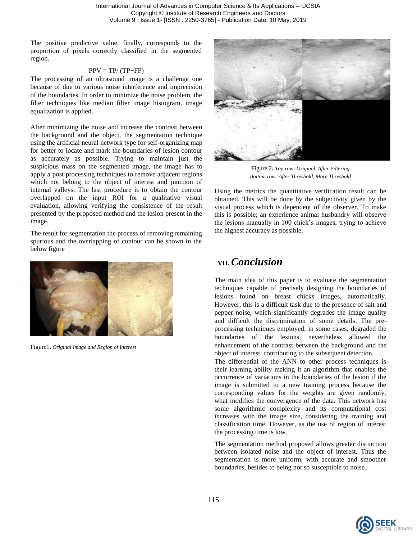The positive predictive value, finally, corresponds to the proportion of pixels correctly classified in the segmented region.

#### $PPV = TP/(TP+FP)$

The processing of an ultrasound image is a challenge one because of due to various noise interference and imprecision of the boundaries. In order to minimize the noise problem, the filter techniques like median filter image histogram, image equalization is applied.

After minimizing the noise and increase the contrast between the background and the object, the segmentation technique using the artificial neural network type for self-organizing map for better to locate and mark the boundaries of lesion contour as accurately as possible. Trying to maintain just the suspicious mass on the segmented image, the image has to apply a post processing techniques to remove adjacent regions which not belong to the object of interest and junction of internal valleys. The last procedure is to obtain the contour overlapped on the input ROI for a qualitative visual evaluation, allowing verifying the consistence of the result presented by the proposed method and the lesion present in the image.

The result for segmentation the process of removing remaining spurious and the overlapping of contour can be shown in the below figure



Figure1**.** *Original Image and Region of Interest*



Figure 2**.** *Top row: Original, After Filtering Bottom row: After Threshold, More Threshold*

Using the metrics the quantitative verification result can be obtained. This will be done by the subjectivity given by the visual process which is dependent of the observer. To make this is possible; an experience animal husbandry will observe the lesions manually in 100 chick's images, trying to achieve the highest accuracy as possible.

### **VII.** *Conclusion*

The main idea of this paper is to evaluate the segmentation techniques capable of precisely designing the boundaries of lesions found on breast chicks images, automatically. However, this is a difficult task due to the presence of salt and pepper noise, which significantly degrades the image quality and difficult the discrimination of some details. The preprocessing techniques employed, in some cases, degraded the boundaries of the lesions, nevertheless allowed the enhancement of the contrast between the background and the object of interest, contributing to the subsequent detection.

The differential of the ANN to other process techniques is their learning ability making it an algorithm that enables the occurrence of variations in the boundaries of the lesion if the image is submitted to a new training process because the corresponding values for the weights are given randomly, what modifies the convergence of the data. This network has some algorithmic complexity and its computational cost increases with the image size, considering the training and classification time. However, as the use of region of interest the processing time is low.

The segmentation method proposed allows greater distinction between isolated noise and the object of interest. Thus the segmentation is more uniform, with accurate and smoother boundaries, besides to being not so susceptible to noise.